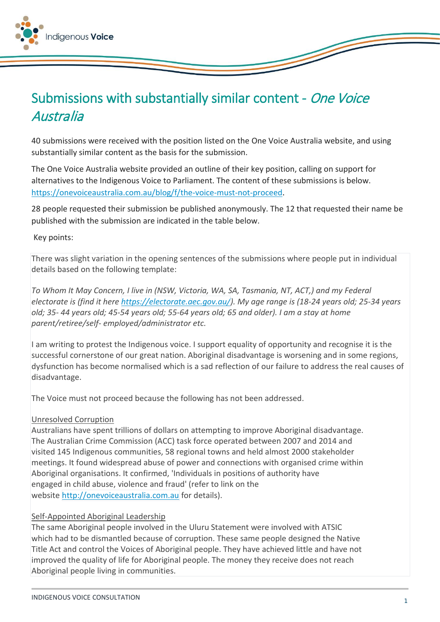

# Submissions with substantially similar content - One Voice Australia

40 submissions were received with the position listed on the One Voice Australia website, and using substantially similar content as the basis for the submission.

The One Voice Australia website provided an outline of their key position, calling on support for alternatives to the Indigenous Voice to Parliament. The content of these submissions is below. [https://onevoiceaustralia.com.au/blog/f/the-voice-must-not-proceed.](https://onevoiceaustralia.com.au/blog/f/the-voice-must-not-proceed)

28 people requested their submission be published anonymously. The 12 that requested their name be published with the submission are indicated in the table below.

### Key points:

There was slight variation in the opening sentences of the submissions where people put in individual details based on the following template:

*To Whom It May Concern, I live in (NSW, Victoria, WA, SA, Tasmania, NT, ACT,) and my Federal electorate is (find it here [https://electorate.aec.gov.au/\)](https://electorate.aec.gov.au/). My age range is (18-24 years old; 25-34 years old; 35- 44 years old; 45-54 years old; 55-64 years old; 65 and older). I am a stay at home parent/retiree/self- employed/administrator etc.*

I am writing to protest the Indigenous voice. I support equality of opportunity and recognise it is the successful cornerstone of our great nation. Aboriginal disadvantage is worsening and in some regions, dysfunction has become normalised which is a sad reflection of our failure to address the real causes of disadvantage.

The Voice must not proceed because the following has not been addressed.

## Unresolved Corruption

Australians have spent trillions of dollars on attempting to improve Aboriginal disadvantage. The Australian Crime Commission (ACC) task force operated between 2007 and 2014 and visited 145 Indigenous communities, 58 regional towns and held almost 2000 stakeholder meetings. It found widespread abuse of power and connections with organised crime within Aboriginal organisations. It confirmed, 'Individuals in positions of authority have engaged in child abuse, violence and fraud' (refer to link on the website [http://onevoiceaustralia.com.au](http://onevoiceaustralia.com.au/) for details).

## Self-Appointed Aboriginal Leadership

The same Aboriginal people involved in the Uluru Statement were involved with ATSIC which had to be dismantled because of corruption. These same people designed the Native Title Act and control the Voices of Aboriginal people. They have achieved little and have not improved the quality of life for Aboriginal people. The money they receive does not reach Aboriginal people living in communities.